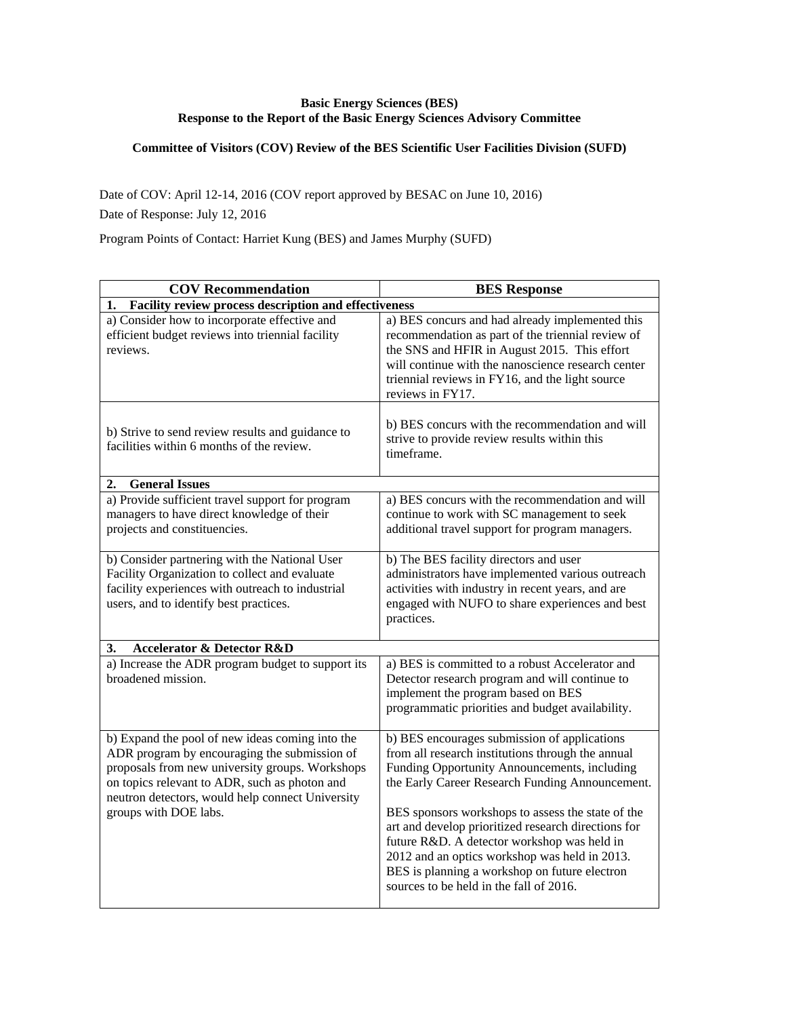## **Basic Energy Sciences (BES) Response to the Report of the Basic Energy Sciences Advisory Committee**

## **Committee of Visitors (COV) Review of the BES Scientific User Facilities Division (SUFD)**

Date of COV: April 12-14, 2016 (COV report approved by BESAC on June 10, 2016) Date of Response: July 12, 2016

Program Points of Contact: Harriet Kung (BES) and James Murphy (SUFD)

| <b>COV Recommendation</b>                                                                                                                                                                                                                                                        | <b>BES</b> Response                                                                                                                                                                                                                                                                                                                                                                                                                                                                                          |  |
|----------------------------------------------------------------------------------------------------------------------------------------------------------------------------------------------------------------------------------------------------------------------------------|--------------------------------------------------------------------------------------------------------------------------------------------------------------------------------------------------------------------------------------------------------------------------------------------------------------------------------------------------------------------------------------------------------------------------------------------------------------------------------------------------------------|--|
| 1. Facility review process description and effectiveness                                                                                                                                                                                                                         |                                                                                                                                                                                                                                                                                                                                                                                                                                                                                                              |  |
| a) Consider how to incorporate effective and<br>efficient budget reviews into triennial facility<br>reviews.                                                                                                                                                                     | a) BES concurs and had already implemented this<br>recommendation as part of the triennial review of<br>the SNS and HFIR in August 2015. This effort<br>will continue with the nanoscience research center<br>triennial reviews in FY16, and the light source<br>reviews in FY17.                                                                                                                                                                                                                            |  |
| b) Strive to send review results and guidance to<br>facilities within 6 months of the review.                                                                                                                                                                                    | b) BES concurs with the recommendation and will<br>strive to provide review results within this<br>timeframe.                                                                                                                                                                                                                                                                                                                                                                                                |  |
| 2.<br><b>General Issues</b>                                                                                                                                                                                                                                                      |                                                                                                                                                                                                                                                                                                                                                                                                                                                                                                              |  |
| a) Provide sufficient travel support for program<br>managers to have direct knowledge of their<br>projects and constituencies.                                                                                                                                                   | a) BES concurs with the recommendation and will<br>continue to work with SC management to seek<br>additional travel support for program managers.                                                                                                                                                                                                                                                                                                                                                            |  |
| b) Consider partnering with the National User<br>Facility Organization to collect and evaluate<br>facility experiences with outreach to industrial<br>users, and to identify best practices.                                                                                     | b) The BES facility directors and user<br>administrators have implemented various outreach<br>activities with industry in recent years, and are<br>engaged with NUFO to share experiences and best<br>practices.                                                                                                                                                                                                                                                                                             |  |
| <b>Accelerator &amp; Detector R&amp;D</b><br>3.                                                                                                                                                                                                                                  |                                                                                                                                                                                                                                                                                                                                                                                                                                                                                                              |  |
| a) Increase the ADR program budget to support its<br>broadened mission.                                                                                                                                                                                                          | a) BES is committed to a robust Accelerator and<br>Detector research program and will continue to<br>implement the program based on BES<br>programmatic priorities and budget availability.                                                                                                                                                                                                                                                                                                                  |  |
| b) Expand the pool of new ideas coming into the<br>ADR program by encouraging the submission of<br>proposals from new university groups. Workshops<br>on topics relevant to ADR, such as photon and<br>neutron detectors, would help connect University<br>groups with DOE labs. | b) BES encourages submission of applications<br>from all research institutions through the annual<br>Funding Opportunity Announcements, including<br>the Early Career Research Funding Announcement.<br>BES sponsors workshops to assess the state of the<br>art and develop prioritized research directions for<br>future R&D. A detector workshop was held in<br>2012 and an optics workshop was held in 2013.<br>BES is planning a workshop on future electron<br>sources to be held in the fall of 2016. |  |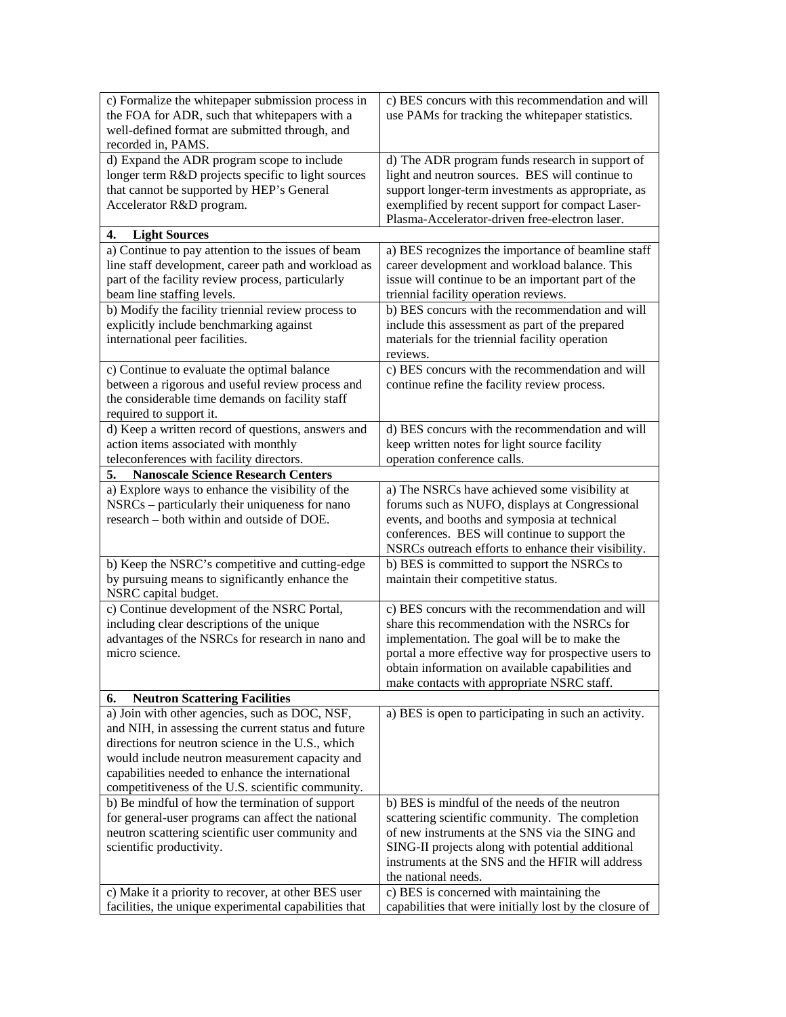| c) Formalize the whitepaper submission process in                                            | c) BES concurs with this recommendation and will                                               |
|----------------------------------------------------------------------------------------------|------------------------------------------------------------------------------------------------|
| the FOA for ADR, such that whitepapers with a                                                | use PAMs for tracking the whitepaper statistics.                                               |
| well-defined format are submitted through, and                                               |                                                                                                |
| recorded in, PAMS.                                                                           |                                                                                                |
| d) Expand the ADR program scope to include                                                   | d) The ADR program funds research in support of                                                |
| longer term R&D projects specific to light sources                                           | light and neutron sources. BES will continue to                                                |
| that cannot be supported by HEP's General                                                    | support longer-term investments as appropriate, as                                             |
| Accelerator R&D program.                                                                     | exemplified by recent support for compact Laser-                                               |
|                                                                                              | Plasma-Accelerator-driven free-electron laser.                                                 |
| <b>Light Sources</b><br>4.                                                                   |                                                                                                |
| a) Continue to pay attention to the issues of beam                                           | a) BES recognizes the importance of beamline staff                                             |
| line staff development, career path and workload as                                          | career development and workload balance. This                                                  |
| part of the facility review process, particularly                                            | issue will continue to be an important part of the                                             |
| beam line staffing levels.                                                                   | triennial facility operation reviews.                                                          |
| b) Modify the facility triennial review process to                                           | b) BES concurs with the recommendation and will                                                |
| explicitly include benchmarking against                                                      | include this assessment as part of the prepared                                                |
| international peer facilities.                                                               | materials for the triennial facility operation                                                 |
|                                                                                              | reviews.                                                                                       |
| c) Continue to evaluate the optimal balance                                                  | c) BES concurs with the recommendation and will                                                |
| between a rigorous and useful review process and                                             | continue refine the facility review process.                                                   |
| the considerable time demands on facility staff                                              |                                                                                                |
| required to support it.                                                                      |                                                                                                |
| d) Keep a written record of questions, answers and                                           | d) BES concurs with the recommendation and will                                                |
| action items associated with monthly                                                         | keep written notes for light source facility                                                   |
| teleconferences with facility directors.<br><b>Nanoscale Science Research Centers</b>        | operation conference calls.                                                                    |
| 5.                                                                                           |                                                                                                |
| a) Explore ways to enhance the visibility of the                                             | a) The NSRCs have achieved some visibility at                                                  |
| NSRCs – particularly their uniqueness for nano<br>research – both within and outside of DOE. | forums such as NUFO, displays at Congressional<br>events, and booths and symposia at technical |
|                                                                                              | conferences. BES will continue to support the                                                  |
|                                                                                              | NSRCs outreach efforts to enhance their visibility.                                            |
| b) Keep the NSRC's competitive and cutting-edge                                              | b) BES is committed to support the NSRCs to                                                    |
| by pursuing means to significantly enhance the                                               | maintain their competitive status.                                                             |
| NSRC capital budget.                                                                         |                                                                                                |
| c) Continue development of the NSRC Portal,                                                  | c) BES concurs with the recommendation and will                                                |
| including clear descriptions of the unique                                                   | share this recommendation with the NSRCs for                                                   |
| advantages of the NSRCs for research in nano and                                             | implementation. The goal will be to make the                                                   |
| micro science.                                                                               | portal a more effective way for prospective users to                                           |
|                                                                                              | obtain information on available capabilities and                                               |
|                                                                                              | make contacts with appropriate NSRC staff.                                                     |
| <b>Neutron Scattering Facilities</b><br>6.                                                   |                                                                                                |
| a) Join with other agencies, such as DOC, NSF,                                               | a) BES is open to participating in such an activity.                                           |
| and NIH, in assessing the current status and future                                          |                                                                                                |
| directions for neutron science in the U.S., which                                            |                                                                                                |
| would include neutron measurement capacity and                                               |                                                                                                |
| capabilities needed to enhance the international                                             |                                                                                                |
| competitiveness of the U.S. scientific community.                                            |                                                                                                |
| b) Be mindful of how the termination of support                                              | b) BES is mindful of the needs of the neutron                                                  |
| for general-user programs can affect the national                                            | scattering scientific community. The completion                                                |
| neutron scattering scientific user community and                                             | of new instruments at the SNS via the SING and                                                 |
| scientific productivity.                                                                     | SING-II projects along with potential additional                                               |
|                                                                                              | instruments at the SNS and the HFIR will address                                               |
|                                                                                              | the national needs.                                                                            |
| c) Make it a priority to recover, at other BES user                                          | c) BES is concerned with maintaining the                                                       |
| facilities, the unique experimental capabilities that                                        | capabilities that were initially lost by the closure of                                        |